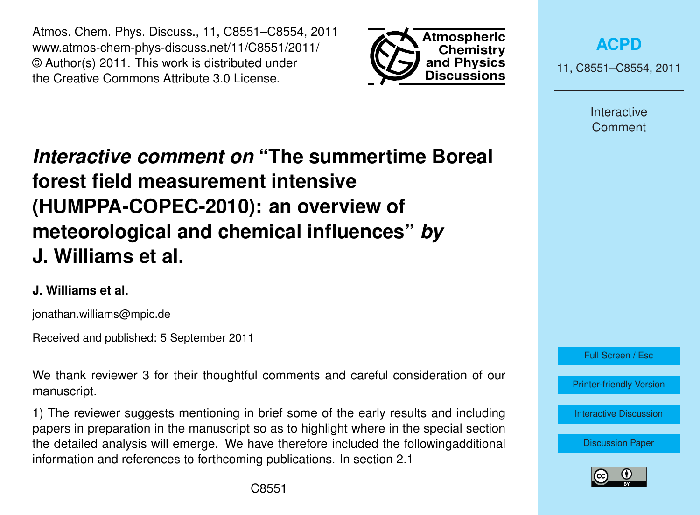Atmos. Chem. Phys. Discuss., 11, C8551–C8554, 2011 www.atmos-chem-phys-discuss.net/11/C8551/2011/ © Author(s) 2011. This work is distributed under the Creative Commons Attribute 3.0 License.



**[ACPD](http://www.atmos-chem-phys-discuss.net)**

11, C8551–C8554, 2011

Interactive Comment

# *Interactive comment on* **"The summertime Boreal forest field measurement intensive (HUMPPA-COPEC-2010): an overview of meteorological and chemical influences"** *by* **J. Williams et al.**

## **J. Williams et al.**

jonathan.williams@mpic.de

Received and published: 5 September 2011

We thank reviewer 3 for their thoughtful comments and careful consideration of our manuscript.

1) The reviewer suggests mentioning in brief some of the early results and including papers in preparation in the manuscript so as to highlight where in the special section the detailed analysis will emerge. We have therefore included the followingadditional information and references to forthcoming publications. In section 2.1



Full Screen / Esc

[Printer-friendly Version](http://www.atmos-chem-phys-discuss.net/11/C8551/2011/acpd-11-C8551-2011-print.pdf)

[Interactive Discussion](http://www.atmos-chem-phys-discuss.net/11/15921/2011/acpd-11-15921-2011-discussion.html)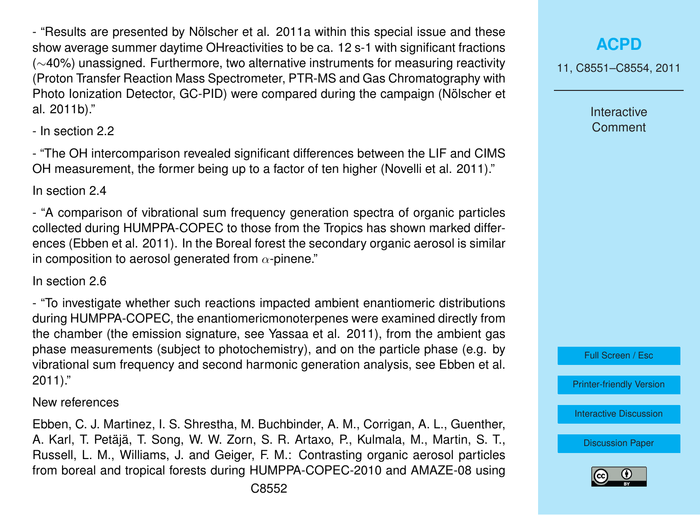- "Results are presented by Nölscher et al. 2011a within this special issue and these show average summer daytime OHreactivities to be ca. 12 s-1 with significant fractions (∼40%) unassigned. Furthermore, two alternative instruments for measuring reactivity (Proton Transfer Reaction Mass Spectrometer, PTR-MS and Gas Chromatography with Photo Ionization Detector, GC-PID) were compared during the campaign (Nölscher et al. 2011b)."

- In section 2.2

- "The OH intercomparison revealed significant differences between the LIF and CIMS OH measurement, the former being up to a factor of ten higher (Novelli et al. 2011)."

In section 2.4

- "A comparison of vibrational sum frequency generation spectra of organic particles collected during HUMPPA-COPEC to those from the Tropics has shown marked differences (Ebben et al. 2011). In the Boreal forest the secondary organic aerosol is similar in composition to aerosol generated from  $\alpha$ -pinene."

In section 2.6

- "To investigate whether such reactions impacted ambient enantiomeric distributions during HUMPPA-COPEC, the enantiomericmonoterpenes were examined directly from the chamber (the emission signature, see Yassaa et al. 2011), from the ambient gas phase measurements (subject to photochemistry), and on the particle phase (e.g. by vibrational sum frequency and second harmonic generation analysis, see Ebben et al. 2011)."

#### New references

Ebben, C. J. Martinez, I. S. Shrestha, M. Buchbinder, A. M., Corrigan, A. L., Guenther, A. Karl, T. Petäjä, T. Song, W. W. Zorn, S. R. Artaxo, P., Kulmala, M., Martin, S. T., Russell, L. M., Williams, J. and Geiger, F. M.: Contrasting organic aerosol particles from boreal and tropical forests during HUMPPA-COPEC-2010 and AMAZE-08 using

## **[ACPD](http://www.atmos-chem-phys-discuss.net)**

11, C8551–C8554, 2011

Interactive **Comment** 



[Printer-friendly Version](http://www.atmos-chem-phys-discuss.net/11/C8551/2011/acpd-11-C8551-2011-print.pdf)

[Interactive Discussion](http://www.atmos-chem-phys-discuss.net/11/15921/2011/acpd-11-15921-2011-discussion.html)

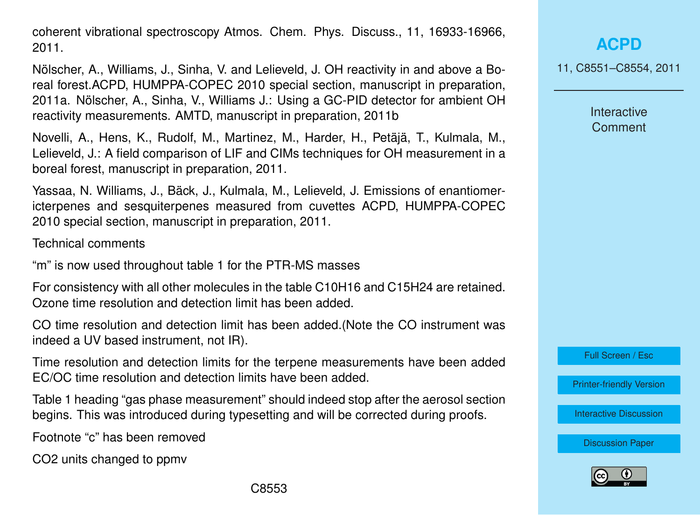coherent vibrational spectroscopy Atmos. Chem. Phys. Discuss., 11, 16933-16966, 2011.

Nölscher, A., Williams, J., Sinha, V. and Lelieveld, J. OH reactivity in and above a Boreal forest.ACPD, HUMPPA-COPEC 2010 special section, manuscript in preparation, 2011a. Nölscher, A., Sinha, V., Williams J.: Using a GC-PID detector for ambient OH reactivity measurements. AMTD, manuscript in preparation, 2011b

Novelli, A., Hens, K., Rudolf, M., Martinez, M., Harder, H., Petäjä, T., Kulmala, M., Lelieveld, J.: A field comparison of LIF and CIMs techniques for OH measurement in a boreal forest, manuscript in preparation, 2011.

Yassaa, N. Williams, J., Bäck, J., Kulmala, M., Lelieveld, J. Emissions of enantiomericterpenes and sesquiterpenes measured from cuvettes ACPD, HUMPPA-COPEC 2010 special section, manuscript in preparation, 2011.

Technical comments

"m" is now used throughout table 1 for the PTR-MS masses

For consistency with all other molecules in the table C10H16 and C15H24 are retained. Ozone time resolution and detection limit has been added.

CO time resolution and detection limit has been added.(Note the CO instrument was indeed a UV based instrument, not IR).

Time resolution and detection limits for the terpene measurements have been added EC/OC time resolution and detection limits have been added.

Table 1 heading "gas phase measurement" should indeed stop after the aerosol section begins. This was introduced during typesetting and will be corrected during proofs.

Footnote "c" has been removed

CO2 units changed to ppmv

11, C8551–C8554, 2011

Interactive **Comment** 

Full Screen / Esc

[Printer-friendly Version](http://www.atmos-chem-phys-discuss.net/11/C8551/2011/acpd-11-C8551-2011-print.pdf)

[Interactive Discussion](http://www.atmos-chem-phys-discuss.net/11/15921/2011/acpd-11-15921-2011-discussion.html)